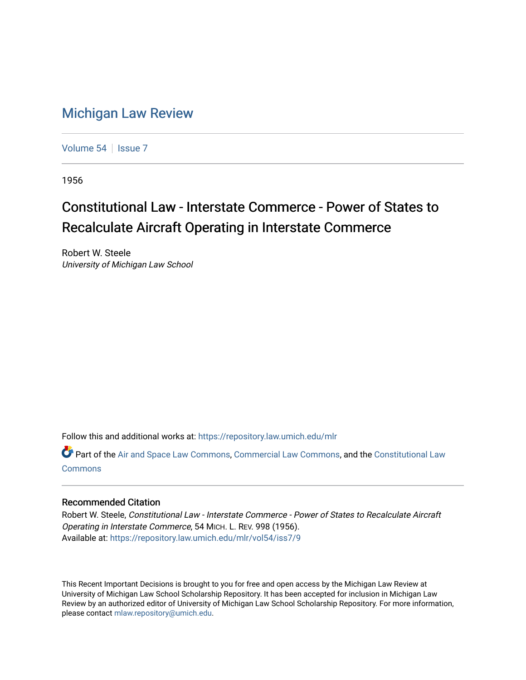## [Michigan Law Review](https://repository.law.umich.edu/mlr)

[Volume 54](https://repository.law.umich.edu/mlr/vol54) | [Issue 7](https://repository.law.umich.edu/mlr/vol54/iss7)

1956

## Constitutional Law - Interstate Commerce - Power of States to Recalculate Aircraft Operating in Interstate Commerce

Robert W. Steele University of Michigan Law School

Follow this and additional works at: [https://repository.law.umich.edu/mlr](https://repository.law.umich.edu/mlr?utm_source=repository.law.umich.edu%2Fmlr%2Fvol54%2Fiss7%2F9&utm_medium=PDF&utm_campaign=PDFCoverPages) 

Part of the [Air and Space Law Commons](http://network.bepress.com/hgg/discipline/830?utm_source=repository.law.umich.edu%2Fmlr%2Fvol54%2Fiss7%2F9&utm_medium=PDF&utm_campaign=PDFCoverPages), [Commercial Law Commons,](http://network.bepress.com/hgg/discipline/586?utm_source=repository.law.umich.edu%2Fmlr%2Fvol54%2Fiss7%2F9&utm_medium=PDF&utm_campaign=PDFCoverPages) and the [Constitutional Law](http://network.bepress.com/hgg/discipline/589?utm_source=repository.law.umich.edu%2Fmlr%2Fvol54%2Fiss7%2F9&utm_medium=PDF&utm_campaign=PDFCoverPages)  [Commons](http://network.bepress.com/hgg/discipline/589?utm_source=repository.law.umich.edu%2Fmlr%2Fvol54%2Fiss7%2F9&utm_medium=PDF&utm_campaign=PDFCoverPages)

## Recommended Citation

Robert W. Steele, Constitutional Law - Interstate Commerce - Power of States to Recalculate Aircraft Operating in Interstate Commerce, 54 MICH. L. REV. 998 (1956). Available at: [https://repository.law.umich.edu/mlr/vol54/iss7/9](https://repository.law.umich.edu/mlr/vol54/iss7/9?utm_source=repository.law.umich.edu%2Fmlr%2Fvol54%2Fiss7%2F9&utm_medium=PDF&utm_campaign=PDFCoverPages)

This Recent Important Decisions is brought to you for free and open access by the Michigan Law Review at University of Michigan Law School Scholarship Repository. It has been accepted for inclusion in Michigan Law Review by an authorized editor of University of Michigan Law School Scholarship Repository. For more information, please contact [mlaw.repository@umich.edu.](mailto:mlaw.repository@umich.edu)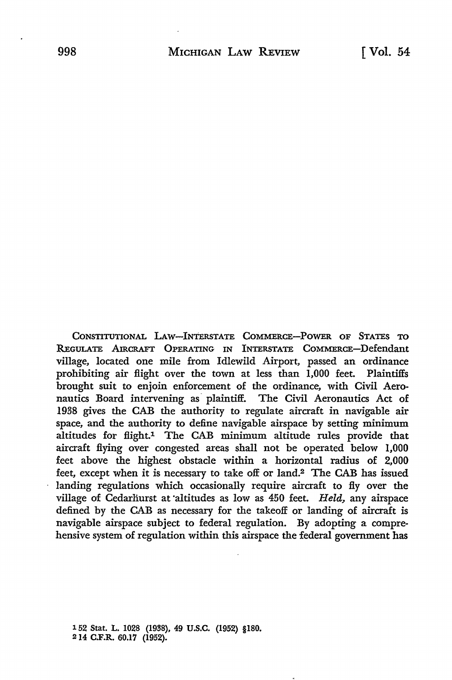CONSTITUTIONAL LAW-INTERSTATE COMMERCE-POWER OF STATES TO R.EcuLATE AIRCRAFT OPERATING IN INTERSTATE COMMERCE-Defendant village, located one mile from Idlewild Airport, passed an ordinance prohibiting air flight over the town at less than 1,000 feet. Plaintiffs brought suit to enjoin enforcement of the ordinance, with Civil Aeronautics Board intervening as· plaintiff. The Civil Aeronautics Act of 1938 gives the CAB the authority to regulate aircraft in navigable air space, and the authority to define navigable airspace by setting minimum altitudes for flight.1 The CAB minimum altitude rules provide that aircraft flying over congested areas shall not be operated below 1,000 feet above the highest obstacle within a horizontal radius of 2,000 feet, except when it is necessary to take off or land.2 The CAB has issued landing regulations which occasionally require aircraft to fly over the village of Cedarliurst at •altitudes as low as 450 feet. *Held,* any airspace defined by the CAB as necessary for the takeoff or landing of aircraft is navigable airspace subject to federal regulation. By adopting a comprehensive system of regulation within this airspace the federal government has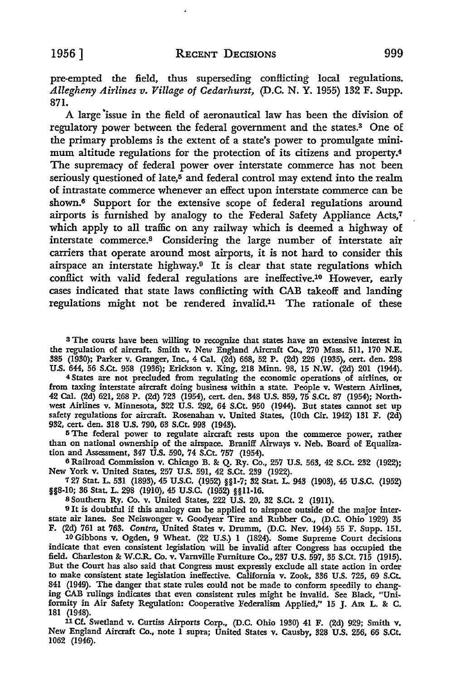pre-empted the field, thus superseding conflicting local regulations. *Allegheny Airlines v. Village of Cedarhurst,* (D.C. N. Y. 1955) 132 F. Supp. 871.

A large issue in the field of aeronautical law has been the division of regulatory power between the federal government and the states.3 One of the primary problems is the extent of a state's power to promulgate minimum altitude regulations for the protection of its citizens and property.4 The supremacy of federal power over interstate commerce has not been seriously questioned of late, $5$  and federal control may extend into the realm of intrastate commerce whenever an effect upon interstate commerce can be shown.6 Support for the extensive scope of federal regulations around airports is furnished by analogy to the Federal Safety Appliance Acts,7 which apply to all traffic on any railway which is deemed a highway of interstate commerce.8 Considering the large number of interstate air carriers that operate around most airports, it is not hard to consider this airspace an interstate highway.9 It is clear that state regulations which conflict with valid federal regulations are ineffective.10 However, early cases indicated that state laws conflicting with CAB takeoff and landing regulations might not be rendered invalid.11 The rationale of these

<sup>3</sup>The courts have been willing to recognize that states have an extensive interest in the regulation of aircraft. Smith v. New England Aircraft Co., 270 Mass. 511, 170 N.E. 385 (1930); Parker v. Granger, Inc., 4 Cal. (2d) 668, 52 P. (2d) 226 (1935), cert. den. 298 U.S. 644, 56 S.Ct. 958 (1936); Erickson v. King, 218 Minn. 98, 15 N.W. (2d) 201 (1944).

4 States are not precluded from regulating the economic operations of airlines, or from taxing interstate aircraft doing business within a state. People v. Western Airlines, 42 Cal. (2d) 621, 268 P. (2d) 723 (1954), cert. den. 348 U.S. 859, 75 S.Ct. 87 (1954); Northwest Airlines v. Minnesota, 322 U.S. 292, 64 S.Ct. 950 (1944). But states cannot set up safety regulations for aircraft. Rosenaban v. United States, (10th Cir. 1942) 131 F. (2d) 932, cert. den. 318 U.S. 790, 63 S.Ct. 993 (1943).

<sup>5</sup>The federal power to regulate aircraft rests upon the commerce power, rather than on national ownership of the airspace. Braniff Airways v. Neb. Board of Equalization and Assessment, 347 U.S. 590, 74 S.Ct. 757 (1954).

6 Railroad Commission v. Chicago B. & Q. Ry. Co., 257 U.S. 563, 42 S.Ct. 232 (1922); New York v. United States, 257 U.S. 591, 42 S.Ct. 239 (1922).

7 27 Stat. L. 531 (1893), 45 U.S.C. (1952) §§1-7; 32 Stat. L. 943 (1903), 45 U.S.C. (1952) §§8-10; 36 Stat. L. 298 (1910), 45 U.S.C. (1952) §§11-16.

8 Southern Ry. Co. v. United States, 222 U.S. 20, 32 S.Ct. 2 (1911).

9 It is doubtful if this analogy can be applied to airspace outside of the major interstate air lanes. See Neiswonger v. Goodyear Tire and Rubber Co., (D.C. Ohio 1929) 35 F. (2d) 761 at 763. *Contra,* United States v. Drumm, (D.C. Nev. 1944) 55 F. Supp. 151.

10 Gibbons v. Ogden, 9 Wheat. (22 U.S.) I (1824). Some Supreme Court decisions indicate that even consistent legislation will be invalid after Congress has occupied the field. Charleston & W.C.R. Co. v. Varnville Furniture Co., 237 U.S. 597, 35 S.Ct. 715 (1915). But the Court has also said that Congress must expressly exclude all state action in order to make consistent state legislation ineffective. California v. Zook, 336 U.S. 725, 69 S.Ct. 841 (1949). The danger that state rules could not be made to conform speedily to changing CAB rulings indicates that even consistent rules might be invalid. See Black, "Uniformity in Air Safety Regulation: Cooperative Federalism Applied," 15 J. Am L. & C. 181 (1948).

11 Cf. Swetland v. Curtiss Airports Corp., (D.C. Ohio 1930) 41 F. (2d) 929; Smith v. New England Aircraft Co., note l supra; United States v. Causby, 328 U.S. 256, 66 S.Ct. 1062 (1946).